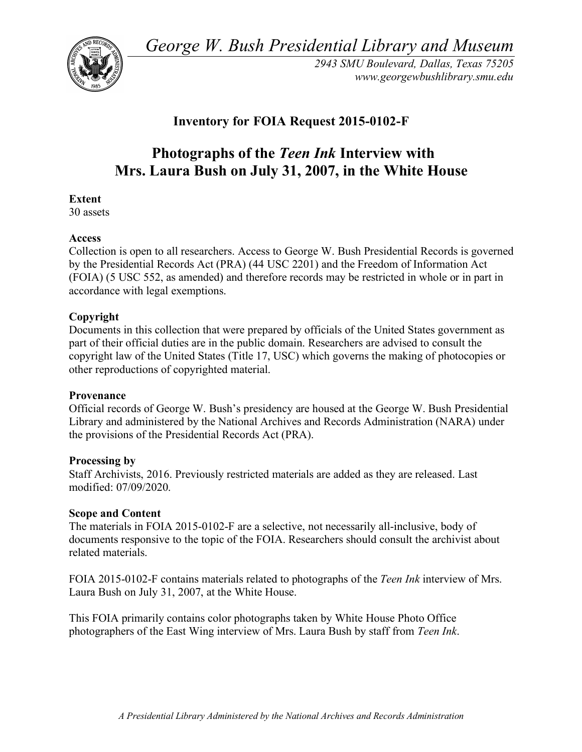*George W. Bush Presidential Library and Museum* 



*2943 SMU Boulevard, Dallas, Texas 75205 <www.georgewbushlibrary.smu.edu>* 

# **Inventory for FOIA Request 2015-0102-F**

# **Photographs of the** *Teen Ink* **Interview with Mrs. Laura Bush on July 31, 2007, in the White House**

# **Extent**

30 assets

# **Access**

 Collection is open to all researchers. Access to George W. Bush Presidential Records is governed by the Presidential Records Act (PRA) (44 USC 2201) and the Freedom of Information Act (FOIA) (5 USC 552, as amended) and therefore records may be restricted in whole or in part in accordance with legal exemptions.

# **Copyright**

 Documents in this collection that were prepared by officials of the United States government as part of their official duties are in the public domain. Researchers are advised to consult the copyright law of the United States (Title 17, USC) which governs the making of photocopies or other reproductions of copyrighted material.

#### **Provenance**

 Official records of George W. Bush's presidency are housed at the George W. Bush Presidential Library and administered by the National Archives and Records Administration (NARA) under the provisions of the Presidential Records Act (PRA).

#### **Processing by**

 Staff Archivists, 2016. Previously restricted materials are added as they are released. Last modified: 07/09/2020.

#### **Scope and Content**

 The materials in FOIA 2015-0102-F are a selective, not necessarily all-inclusive, body of documents responsive to the topic of the FOIA. Researchers should consult the archivist about related materials.

 FOIA 2015-0102-F contains materials related to photographs of the *Teen Ink* interview of Mrs. Laura Bush on July 31, 2007, at the White House.

 This FOIA primarily contains color photographs taken by White House Photo Office photographers of the East Wing interview of Mrs. Laura Bush by staff from *Teen Ink*.